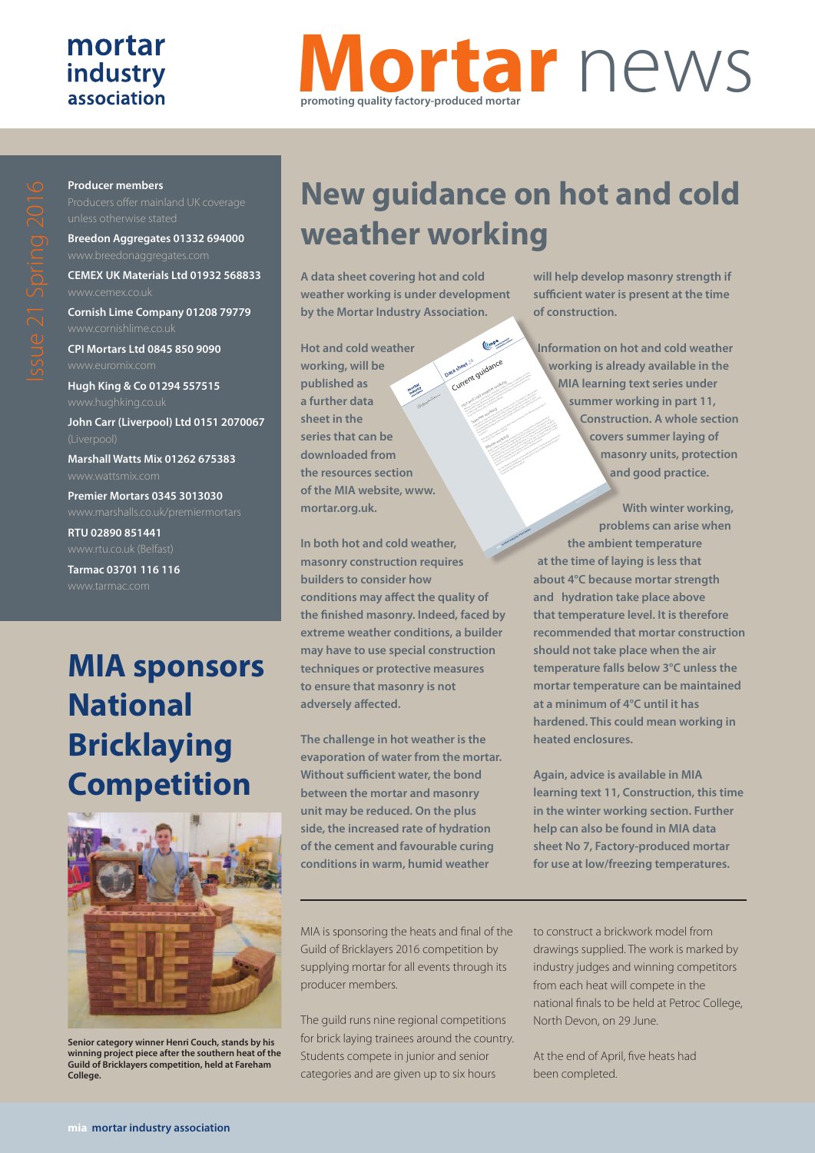#### mortar industry association

# **Mortar** news **promoting quality factory-produced mortar**

**Producer members**

**Breedon Aggregates 01332 694000**

**CEMEX UK Materials Ltd 01932 568833**

**Cornish Lime Company 01208 79779**

**CPI Mortars Ltd 0845 850 9090**

**Hugh King & Co 01294 557515 John Carr (Liverpool) Ltd 0151 2070067**

**Marshall Watts Mix 01262 675383** www.wattsmix.com

**Premier Mortars 0345 3013030**

**RTU 02890 851441**

**Tarmac 03701 116 116**

### **MIA sponsors National Bricklaying Competition**



**Senior category winner Henri Couch, stands by his winning project piece after the southern heat of the Guild of Bricklayers competition, held at Fareham College.**

## **New guidance on hot and cold weather working**

Data sheet <sup>24</sup> guidance

rent gunden ensure that masonry work is not adversely affected. Summer working Evaporation of water from the mortar is the primary concern in hot weather. If suffi cient water is not present, the bond between the mortar and masonry unit may be reduced. However, the increased rate of hydration of the cement and favourable curing conditions in warm, humid weather will help develop at the time of the sufficient water is a sufficient water in the time of the t<br>The time of the time of the time of the time of the time of the time of the time of the time of the time of th More detailed information can be found by clicking here to go to the MIA learning text, part 11, Construction (see Summer working). Winter working Mortar hydration and strength development occurs at temperatures of greater than about

(Cone

expected to continue rising to above 3°C over the bricklaying period.

Construction (see Winter working).

**A data sheet covering hot and cold weather working is under development by the Mortar Industry Association.**

**Hot and cold weather working, will be published as a further data sheet in the series that can be downloaded from the resources section of the MIA website, www. mortar.org.uk.** CI/SfB Yq4 Issue 1 April 2016

**In both hot and cold weather, masonry construction requires builders to consider how conditions may affect the quality of the finished masonry. Indeed, faced by extreme weather conditions, a builder may have to use special construction techniques or protective measures to ensure that masonry is not adversely affected.**

**The challenge in hot weather is the evaporation of water from the mortar. Without sufficient water, the bond between the mortar and masonry unit may be reduced. On the plus side, the increased rate of hydration of the cement and favourable curing conditions in warm, humid weather** 

MIA is sponsoring the heats and final of the Guild of Bricklayers 2016 competition by supplying mortar for all events through its producer members.

The guild runs nine regional competitions for brick laying trainees around the country. Students compete in junior and senior categories and are given up to six hours

**will help develop masonry strength if sufficient water is present at the time of construction.**

**Information on hot and cold weather working is already available in the MIA learning text series under summer working in part 11, Construction. A whole section covers summer laying of masonry units, protection and good practice.**  $\frac{1}{\sqrt{2}}$ characteristics of the mortar may be affected. Consequently, masonry construction should be discontinued when the air temperature falls below 3°C, unless the mortar temperature can be maintained at a minimum of 4°C until it has hardened; this may necessitate working in heated enclosures. If suspended, laying may be resumed when the air temperature rises to 1°C and is For more detailed information go to the MIA data sheet No 7, Factory-produced mortar for use at low/freezing temperatures by clicking here or go to the MIA learning text, part 11,

**With winter working, problems can arise when the ambient temperature at the time of laying is less that about 4°C because mortar strength and hydration take place above that temperature level. It is therefore recommended that mortar construction should not take place when the air temperature falls below 3°C unless the mortar temperature can be maintained at a minimum of 4°C until it has hardened. This could mean working in heated enclosures. mia mortar industry association** Mineral Products Association

> **Again, advice is available in MIA learning text 11, Construction, this time in the winter working section. Further help can also be found in MIA data sheet No 7, Factory-produced mortar for use at low/freezing temperatures.**

> to construct a brickwork model from drawings supplied. The work is marked by industry judges and winning competitors from each heat will compete in the national finals to be held at Petroc College, North Devon, on 29 June.

At the end of April, five heats had been completed.